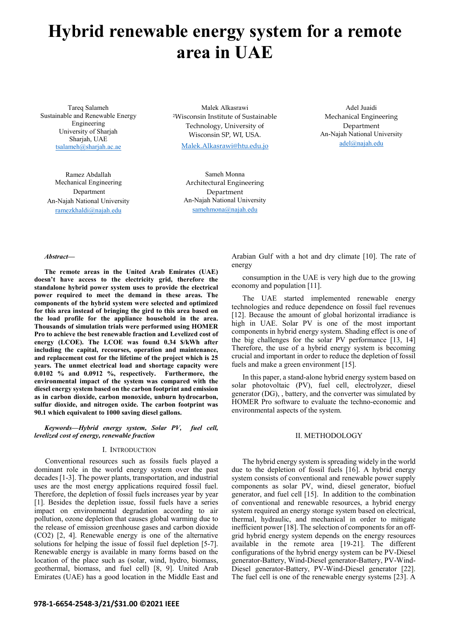# **Hybrid renewable energy system for a remote area in UAE**

Tareq Salameh Sustainable and Renewable Energy Engineering University of Sharjah Sharjah, UAE tsalameh@sharjah.ac.ae

Malek Alkasrawi <sup>2</sup>Wisconsin Institute of Sustainable Technology, University of Wisconsin SP, WI, USA. Malek.Alkasrawi@htu.edu.jo

Adel Juaidi Mechanical Engineering Department An-Najah National University adel@najah.edu

Ramez Abdallah Mechanical Engineering Department An-Najah National University ramezkhaldi@najah.edu

Sameh Monna Architectural Engineering Department An-Najah National University samehmona@najah.edu

#### *Abstract***—**

**The remote areas in the United Arab Emirates (UAE) doesn't have access to the electricity grid, therefore the standalone hybrid power system uses to provide the electrical power required to meet the demand in these areas. The components of the hybrid system were selected and optimized for this area instead of bringing the gird to this area based on the load profile for the appliance household in the area. Thousands of simulation trials were performed using HOMER Pro to achieve the best renewable fraction and Levelized cost of energy (LCOE). The LCOE was found 0.34 \$/kWh after including the capital, recourses, operation and maintenance, and replacement cost for the lifetime of the project which is 25 years. The unmet electrical load and shortage capacity were 0.0102 % and 0.0912 %, respectively. Furthermore, the environmental impact of the system was compared with the diesel energy system based on the carbon footprint and emission as in carbon dioxide, carbon monoxide, unburn hydrocarbon, sulfur dioxide, and nitrogen oxide. The carbon footprint was 90.1 which equivalent to 1000 saving diesel gallons.** 

*Keywords—Hybrid energy system, Solar PV, fuel cell, levelized cost of energy, renewable fraction* 

#### I. INTRODUCTION

Conventional resources such as fossils fuels played a dominant role in the world energy system over the past decades [1-3]. The power plants, transportation, and industrial uses are the most energy applications required fossil fuel. Therefore, the depletion of fossil fuels increases year by year [1]. Besides the depletion issue, fossil fuels have a series impact on environmental degradation according to air pollution, ozone depletion that causes global warming due to the release of emission greenhouse gases and carbon dioxide (CO2) [2, 4]. Renewable energy is one of the alternative solutions for helping the issue of fossil fuel depletion [5-7]. Renewable energy is available in many forms based on the location of the place such as (solar, wind, hydro, biomass, geothermal, biomass, and fuel cell) [8, 9]. United Arab Emirates (UAE) has a good location in the Middle East and

Arabian Gulf with a hot and dry climate [10]. The rate of energy

consumption in the UAE is very high due to the growing economy and population [11].

The UAE started implemented renewable energy technologies and reduce dependence on fossil fuel revenues [12]. Because the amount of global horizontal irradiance is high in UAE. Solar PV is one of the most important components in hybrid energy system. Shading effect is one of the big challenges for the solar PV performance [13, 14] Therefore, the use of a hybrid energy system is becoming crucial and important in order to reduce the depletion of fossil fuels and make a green environment [15].

In this paper, a stand-alone hybrid energy system based on solar photovoltaic (PV), fuel cell, electrolyzer, diesel generator (DG), , battery, and the converter was simulated by HOMER Pro software to evaluate the techno-economic and environmental aspects of the system.

## II. METHODOLOGY

The hybrid energy system is spreading widely in the world due to the depletion of fossil fuels [16]. A hybrid energy system consists of conventional and renewable power supply components as solar PV, wind, diesel generator, biofuel generator, and fuel cell [15]. In addition to the combination of conventional and renewable resources, a hybrid energy system required an energy storage system based on electrical, thermal, hydraulic, and mechanical in order to mitigate inefficient power [18]. The selection of components for an offgrid hybrid energy system depends on the energy resources available in the remote area [19-21]. The different configurations of the hybrid energy system can be PV-Diesel generator-Battery, Wind-Diesel generator-Battery, PV-Wind-Diesel generator-Battery, PV-Wind-Diesel generator [22]. The fuel cell is one of the renewable energy systems [23]. A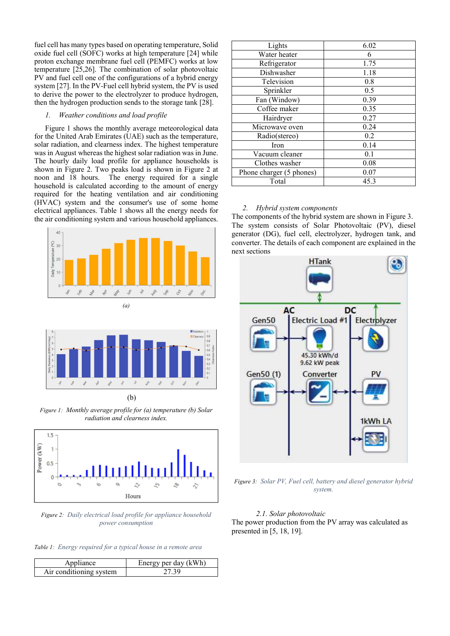fuel cell has many types based on operating temperature, Solid oxide fuel cell (SOFC) works at high temperature [24] while proton exchange membrane fuel cell (PEMFC) works at low temperature [25,26]. The combination of solar photovoltaic PV and fuel cell one of the configurations of a hybrid energy system [27]. In the PV-Fuel cell hybrid system, the PV is used to derive the power to the electrolyzer to produce hydrogen, then the hydrogen production sends to the storage tank [28].

#### *1. Weather conditions and load profile*

Figure 1 shows the monthly average meteorological data for the United Arab Emirates (UAE) such as the temperature, solar radiation, and clearness index. The highest temperature was in August whereas the highest solar radiation was in June. The hourly daily load profile for appliance households is shown in Figure 2. Two peaks load is shown in Figure 2 at noon and 18 hours. The energy required for a single household is calculated according to the amount of energy required for the heating ventilation and air conditioning (HVAC) system and the consumer's use of some home electrical appliances. Table 1 shows all the energy needs for the air conditioning system and various household appliances.





(b)

*Figure 1: Monthly average profile for (a) temperature (b) Solar radiation and clearness index.* 



*Figure 2: Daily electrical load profile for appliance household power consumption* 

*Table 1: Energy required for a typical house in a remote area* 

| Appliance               | Energy per day (kWh) |
|-------------------------|----------------------|
| Air conditioning system | 27 20                |

| Lights                   | 6.02 |
|--------------------------|------|
| Water heater             | 6    |
| Refrigerator             | 1.75 |
| Dishwasher               | 1.18 |
| Television               | 0.8  |
| Sprinkler                | 0.5  |
| Fan (Window)             | 0.39 |
| Coffee maker             | 0.35 |
| Hairdryer                | 0.27 |
| Microwave oven           | 0.24 |
| Radio(stereo)            | 0.2  |
| Iron                     | 0.14 |
| Vacuum cleaner           | 0.1  |
| Clothes washer           | 0.08 |
| Phone charger (5 phones) | 0.07 |
| Total                    | 45.3 |

## *2. Hybrid system components*

The components of the hybrid system are shown in Figure 3. The system consists of Solar Photovoltaic (PV), diesel generator (DG), fuel cell, electrolyzer, hydrogen tank, and converter. The details of each component are explained in the next sections



*Figure 3: Solar PV, Fuel cell, battery and diesel generator hybrid system.* 

## *2.1. Solar photovoltaic*

The power production from the PV array was calculated as presented in [5, 18, 19].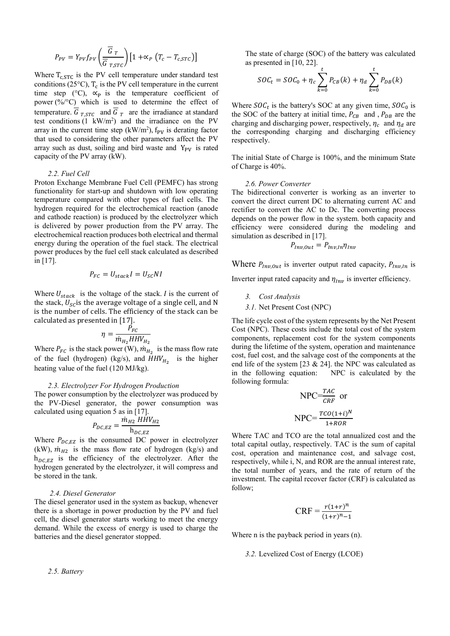$$
P_{PV} = Y_{PV} f_{PV} \left( \frac{\overline{G}_T}{\overline{G}_{T,STC}} \right) \left[ 1 + \alpha_P \left( T_c - T_{c,STC} \right) \right]
$$

Where  $T_{c, STC}$  is the PV cell temperature under standard test conditions (25 $\textdegree$ C), T<sub>c</sub> is the PV cell temperature in the current time step (°C),  $\propto$ <sub>P</sub> is the temperature coefficient of power (%/°C) which is used to determine the effect of temperature.  $G_{T,STC}$  and  $G_T$  are the irradiance at standard test conditions  $(1 \text{ kW/m}^2)$  and the irradiance on the PV array in the current time step  $(kW/m^2)$ ,  $f_{PV}$  is derating factor that used to considering the other parameters affect the PV array such as dust, soiling and bird waste and  $Y_{\text{pv}}$  is rated capacity of the PV array (kW).

### *2.2. Fuel Cell*

Proton Exchange Membrane Fuel Cell (PEMFC) has strong functionality for start-up and shutdown with low operating temperature compared with other types of fuel cells. The hydrogen required for the electrochemical reaction (anode and cathode reaction) is produced by the electrolyzer which is delivered by power production from the PV array. The electrochemical reaction produces both electrical and thermal energy during the operation of the fuel stack. The electrical power produces by the fuel cell stack calculated as described in [17].

$$
P_{FC} = U_{stack}I = U_{SC}NI
$$

Where  $U_{stack}$  is the voltage of the stack. I is the current of the stack,  $U_{\rm sc}$  is the average voltage of a single cell, and N is the number of cells. The efficiency of the stack can be calculated as presented in [17].

$$
\eta = \frac{P_{FC}}{\dot{m}_{H_2}HHV_{H_2}}
$$

Where  $P_{FC}$  is the stack power (W),  $\dot{m}_{H_2}$  is the mass flow rate of the fuel (hydrogen) (kg/s), and  $HHV_{H_2}$  is the higher heating value of the fuel (120 MJ/kg).

## *2.3. Electrolyzer For Hydrogen Production*

The power consumption by the electrolyzer was produced by the PV-Diesel generator, the power consumption was calculated using equation 5 as in [17].

$$
P_{DC,EZ} = \frac{\dot{m}_{H2} H \dot{H} V_{H2}}{h_{DC,EZ}}
$$

Where  $P_{DC,EZ}$  is the consumed DC power in electrolyzer (kW),  $\dot{m}_{H2}$  is the mass flow rate of hydrogen (kg/s) and  $h_{DCEZ}$  is the efficiency of the electrolyzer. After the hydrogen generated by the electrolyzer, it will compress and be stored in the tank.

#### *2.4. Diesel Generator*

The diesel generator used in the system as backup, whenever there is a shortage in power production by the PV and fuel cell, the diesel generator starts working to meet the energy demand. While the excess of energy is used to charge the batteries and the diesel generator stopped.

*2.5. Battery* 

The state of charge (SOC) of the battery was calculated as presented in [10, 22].  $\ddot{r}$ 

$$
SOC_t = SOC_0 + \eta_c \sum_{k=0}^{t} P_{CB}(k) + \eta_d \sum_{k=0}^{t} P_{DB}(k)
$$

Where  $SOC_t$  is the battery's SOC at any given time,  $SOC_0$  is the SOC of the battery at initial time,  $P_{CB}$  and,  $P_{DB}$  are the charging and discharging power, respectively,  $\eta_c$  and  $\eta_d$  are the corresponding charging and discharging efficiency respectively.

The initial State of Charge is 100%, and the minimum State of Charge is 40%.

#### *2.6. Power Converter*

The bidirectional converter is working as an inverter to convert the direct current DC to alternating current AC and rectifier to convert the AC to Dc. The converting process depends on the power flow in the system. both capacity and efficiency were considered during the modeling and simulation as described in [17].

$$
P_{Inv,Out} = P_{Inv,In} \eta_{Inv}
$$

Where  $P_{Inv,Out}$  is inverter output rated capacity,  $P_{Inv,In}$  is

Inverter input rated capacity and  $\eta_{Inv}$  is inverter efficiency.

- *3. Cost Analysis*
- *3.1.* Net Present Cost (NPC)

The life cycle cost of the system represents by the Net Present Cost (NPC). These costs include the total cost of the system components, replacement cost for the system components during the lifetime of the system, operation and maintenance cost, fuel cost, and the salvage cost of the components at the end life of the system [23 & 24]. the NPC was calculated as in the following equation: NPC is calculated by the following formula:

$$
NPC = \frac{TAC}{CRF}
$$
 or  
 
$$
NPC = \frac{TCO(1+i)^N}{1+ROR}
$$

Where TAC and TCO are the total annualized cost and the total capital outlay, respectively. TAC is the sum of capital cost, operation and maintenance cost, and salvage cost, respectively, while i, N, and ROR are the annual interest rate, the total number of years, and the rate of return of the investment. The capital recover factor (CRF) is calculated as follow;

$$
CRF = \frac{r(1+r)^n}{(1+r)^{n}-1}
$$

Where n is the payback period in years (n).

*3.2.* Levelized Cost of Energy (LCOE)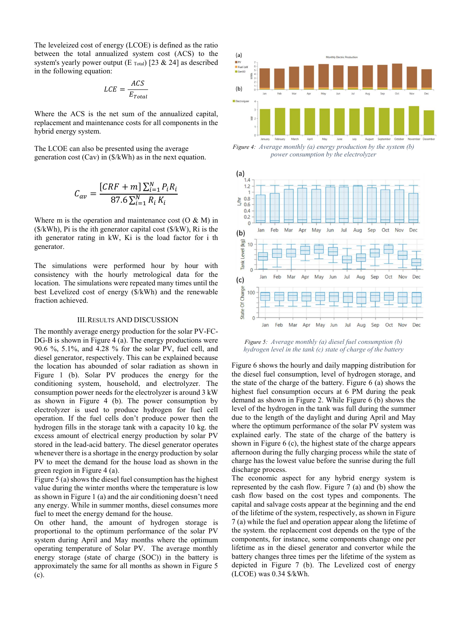The leveleized cost of energy (LCOE) is defined as the ratio between the total annualized system cost (ACS) to the system's yearly power output (E  $_{\text{Total}}$ ) [23 & 24] as described in the following equation:

$$
LCE = \frac{ACS}{E_{Total}}
$$

Where the ACS is the net sum of the annualized capital, replacement and maintenance costs for all components in the hybrid energy system.

The LCOE can also be presented using the average generation cost (Cav) in (\$/kWh) as in the next equation.

$$
C_{av} = \frac{[CRF + m] \sum_{i=1}^{N} P_i R_i}{87.6 \sum_{i=1}^{N} R_i K_i}
$$

Where m is the operation and maintenance cost  $(O & M)$  in  $($/kWh)$ , Pi is the ith generator capital cost  $($/kW)$ , Ri is the ith generator rating in kW, Ki is the load factor for i th generator.

The simulations were performed hour by hour with consistency with the hourly metrological data for the location. The simulations were repeated many times until the best Levelized cost of energy (\$/kWh) and the renewable fraction achieved.

### III.RESULTS AND DISCUSSION

The monthly average energy production for the solar PV-FC-DG-B is shown in Figure 4 (a). The energy productions were 90.6 %, 5.1%, and 4.28 % for the solar PV, fuel cell, and diesel generator, respectively. This can be explained because the location has abounded of solar radiation as shown in Figure 1 (b). Solar PV produces the energy for the conditioning system, household, and electrolyzer. The consumption power needs for the electrolyzer is around 3 kW as shown in Figure 4 (b). The power consumption by electrolyzer is used to produce hydrogen for fuel cell operation. If the fuel cells don't produce power then the hydrogen fills in the storage tank with a capacity 10 kg. the excess amount of electrical energy production by solar PV stored in the lead-acid battery. The diesel generator operates whenever there is a shortage in the energy production by solar PV to meet the demand for the house load as shown in the green region in Figure 4 (a).

Figure 5 (a) shows the diesel fuel consumption has the highest value during the winter months where the temperature is low as shown in Figure 1 (a) and the air conditioning doesn't need any energy. While in summer months, diesel consumes more fuel to meet the energy demand for the house.

On other hand, the amount of hydrogen storage is proportional to the optimum performance of the solar PV system during April and May months where the optimum operating temperature of Solar PV. The average monthly energy storage (state of charge (SOC)) in the battery is approximately the same for all months as shown in Figure 5 (c).



*Figure 4: Average monthly (a) energy production by the system (b) power consumption by the electrolyzer* 



*Figure 5: Average monthly (a) diesel fuel consumption (b) hydrogen level in the tank (c) state of charge of the battery* 

Figure 6 shows the hourly and daily mapping distribution for the diesel fuel consumption, level of hydrogen storage, and the state of the charge of the battery. Figure 6 (a) shows the highest fuel consumption occurs at 6 PM during the peak demand as shown in Figure 2. While Figure 6 (b) shows the level of the hydrogen in the tank was full during the summer due to the length of the daylight and during April and May where the optimum performance of the solar PV system was explained early. The state of the charge of the battery is shown in Figure 6 (c), the highest state of the charge appears afternoon during the fully charging process while the state of charge has the lowest value before the sunrise during the full discharge process.

The economic aspect for any hybrid energy system is represented by the cash flow. Figure 7 (a) and (b) show the cash flow based on the cost types and components. The capital and salvage costs appear at the beginning and the end of the lifetime of the system, respectively, as shown in Figure 7 (a) while the fuel and operation appear along the lifetime of the system. the replacement cost depends on the type of the components, for instance, some components change one per lifetime as in the diesel generator and convertor while the battery changes three times per the lifetime of the system as depicted in Figure 7 (b). The Levelized cost of energy (LCOE) was 0.34 \$/kWh.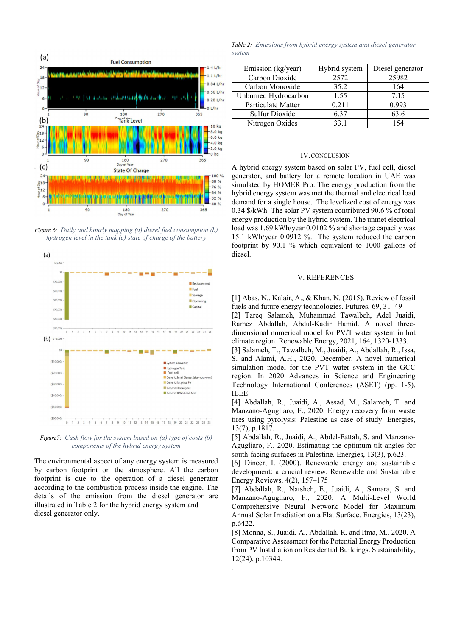

*Figure 6: Daily and hourly mapping (a) diesel fuel consumption (b) hydrogen level in the tank (c) state of charge of the battery* 



*Figure7: Cash flow for the system based on (a) type of costs (b) components of the hybrid energy system* 

The environmental aspect of any energy system is measured by carbon footprint on the atmosphere. All the carbon footprint is due to the operation of a diesel generator according to the combustion process inside the engine. The details of the emission from the diesel generator are illustrated in Table 2 for the hybrid energy system and diesel generator only.

*Table 2: Emissions from hybrid energy system and diesel generator system* 

| Emission (kg/year)   | Hybrid system | Diesel generator |
|----------------------|---------------|------------------|
| Carbon Dioxide       | 2572          | 25982            |
| Carbon Monoxide      | 35.2          | 164              |
| Unburned Hydrocarbon | 1.55          | 7.15             |
| Particulate Matter   | 0.211         | 0.993            |
| Sulfur Dioxide       | 6.37          | 63.6             |
| Nitrogen Oxides      | 33.1          | -54              |

# IV.CONCLUSION

A hybrid energy system based on solar PV, fuel cell, diesel generator, and battery for a remote location in UAE was simulated by HOMER Pro. The energy production from the hybrid energy system was met the thermal and electrical load demand for a single house. The levelized cost of energy was 0.34 \$/kWh. The solar PV system contributed 90.6 % of total energy production by the hybrid system. The unmet electrical load was 1.69 kWh/year 0.0102 % and shortage capacity was 15.1 kWh/year 0.0912 %. The system reduced the carbon footprint by 90.1 % which equivalent to 1000 gallons of diesel.

## V. REFERENCES

[1] Abas, N., Kalair, A., & Khan, N. (2015). Review of fossil fuels and future energy technologies. Futures, 69, 31–49

[2] Tareq Salameh, Muhammad Tawalbeh, Adel Juaidi, Ramez Abdallah, Abdul-Kadir Hamid. A novel threedimensional numerical model for PV/T water system in hot climate region. Renewable Energy, 2021, 164, 1320-1333.

[3] Salameh, T., Tawalbeh, M., Juaidi, A., Abdallah, R., Issa, S. and Alami, A.H., 2020, December. A novel numerical simulation model for the PVT water system in the GCC region. In 2020 Advances in Science and Engineering Technology International Conferences (ASET) (pp. 1-5). IEEE.

[4] Abdallah, R., Juaidi, A., Assad, M., Salameh, T. and Manzano-Agugliaro, F., 2020. Energy recovery from waste tires using pyrolysis: Palestine as case of study. Energies, 13(7), p.1817.

[5] Abdallah, R., Juaidi, A., Abdel-Fattah, S. and Manzano-Agugliaro, F., 2020. Estimating the optimum tilt angles for south-facing surfaces in Palestine. Energies, 13(3), p.623.

[6] Dincer, I. (2000). Renewable energy and sustainable development: a crucial review. Renewable and Sustainable Energy Reviews, 4(2), 157–175

[7] Abdallah, R., Natsheh, E., Juaidi, A., Samara, S. and Manzano-Agugliaro, F., 2020. A Multi-Level World Comprehensive Neural Network Model for Maximum Annual Solar Irradiation on a Flat Surface. Energies, 13(23), p.6422.

[8] Monna, S., Juaidi, A., Abdallah, R. and Itma, M., 2020. A Comparative Assessment for the Potential Energy Production from PV Installation on Residential Buildings. Sustainability, 12(24), p.10344.

.